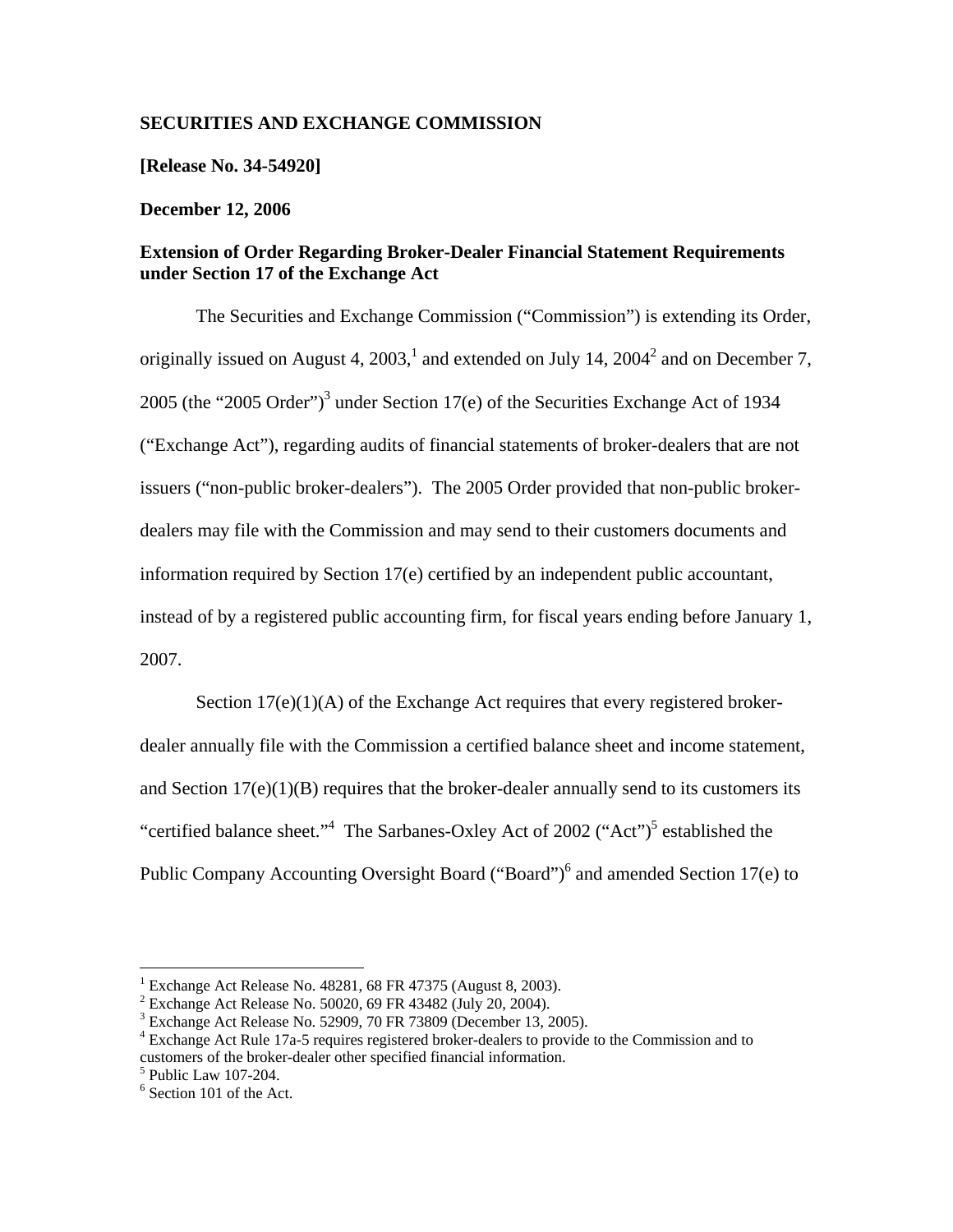## **SECURITIES AND EXCHANGE COMMISSION**

**[Release No. 34-54920]** 

## **December 12, 2006**

## **Extension of Order Regarding Broker-Dealer Financial Statement Requirements under Section 17 of the Exchange Act**

The Securities and Exchange Commission ("Commission") is extending its Order, originally issued on August 4, 2003,<sup>1</sup> and extended on July 14, 2004<sup>2</sup> and on December 7, 2005 (the "2005 Order")<sup>3</sup> under Section 17(e) of the Securities Exchange Act of 1934 ("Exchange Act"), regarding audits of financial statements of broker-dealers that are not issuers ("non-public broker-dealers"). The 2005 Order provided that non-public brokerdealers may file with the Commission and may send to their customers documents and information required by Section 17(e) certified by an independent public accountant, instead of by a registered public accounting firm, for fiscal years ending before January 1, 2007.

Section 17(e)(1)(A) of the Exchange Act requires that every registered brokerdealer annually file with the Commission a certified balance sheet and income statement, and Section  $17(e)(1)(B)$  requires that the broker-dealer annually send to its customers its "certified balance sheet."<sup>4</sup> The Sarbanes-Oxley Act of 2002 ("Act")<sup>5</sup> established the Public Company Accounting Oversight Board ("Board")<sup>6</sup> and amended Section 17(e) to

<sup>&</sup>lt;sup>1</sup> Exchange Act Release No. 48281, 68 FR 47375 (August 8, 2003).

 $2$  Exchange Act Release No. 50020, 69 FR 43482 (July 20, 2004).

 $3$  Exchange Act Release No. 52909, 70 FR 73809 (December 13, 2005).

<sup>&</sup>lt;sup>4</sup> Exchange Act Rule 17a-5 requires registered broker-dealers to provide to the Commission and to customers of the broker-dealer other specified financial information.

 $<sup>5</sup>$  Public Law 107-204.</sup>

 $6$  Section 101 of the Act.